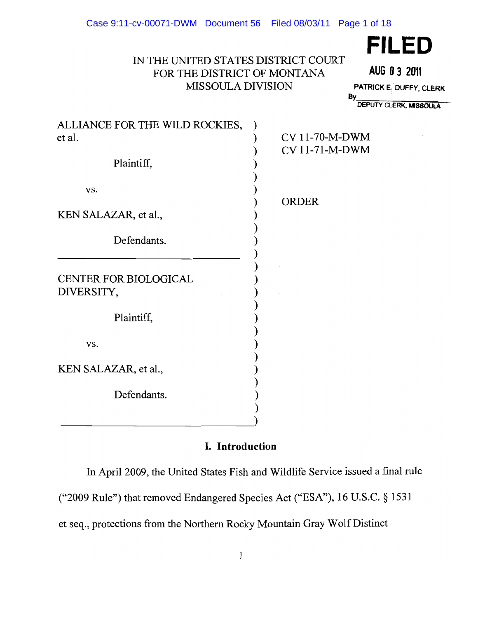# IN THE UNITED STATES DISTRICT COURT FOR THE DISTRICT OF MONTANA AUG **03 2011**  MISSOULA DIVISION PATRICK E<sub>i</sub> DUFFY, CLERK PRODUCT A BY

**FILED** 

DEPUTY CLERK. MISSOULA

| ALLIANCE FOR THE WILD ROCKIES, |                       |
|--------------------------------|-----------------------|
| et al.                         | <b>CV 11-70-M-DWM</b> |
|                                | CV 11-71-M-DWM        |
| Plaintiff,                     |                       |
|                                |                       |
| VS.                            |                       |
|                                | <b>ORDER</b>          |
| KEN SALAZAR, et al.,           |                       |
| Defendants.                    |                       |
|                                |                       |
|                                |                       |
| <b>CENTER FOR BIOLOGICAL</b>   |                       |
| DIVERSITY,                     |                       |
|                                |                       |
| Plaintiff,                     |                       |
|                                |                       |
| VS.                            |                       |
|                                |                       |
| KEN SALAZAR, et al.,           |                       |
|                                |                       |
| Defendants.                    |                       |
|                                |                       |

----------------------------)

# I. Introduction

In April 2009, the United States Fish and Wildlife Service issued a final rule ("2009 Rule") that removed Endangered Species Act ("ESA"), 16 U.S.C. § 1531 et seq., protections from the Northern Rocky Mountain Gray Wolf Distinct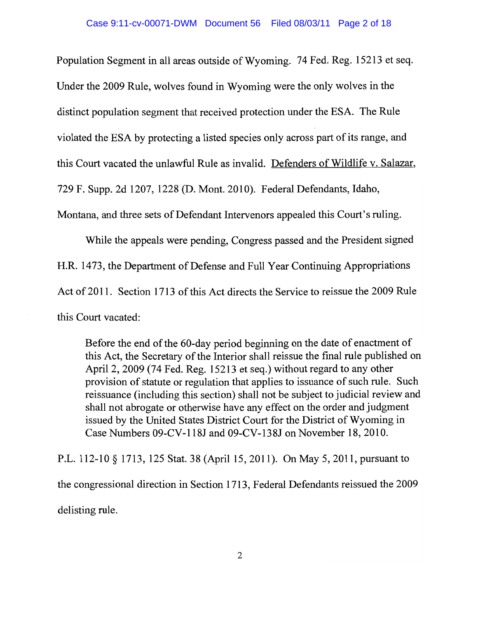Population Segment in all areas outside of Wyoming. 74 Fed. Reg. 15213 et seq. Under the 2009 Rule, wolves found in Wyoming were the only wolves in the distinct population segment that received protection under the ESA. The Rule violated the ESA by protecting a listed species only across part of its range, and this Court vacated the unlawful Rule as invalid. Defenders of Wildlife v. Salazar, 729 F. Supp. 2d 1207, 1228 (D. Mont. 2010). Federal Defendants, Idaho, Montana, and three sets of Defendant Intervenors appealed this Court's ruling.

While the appeals were pending, Congress passed and the President signed H.R. 1473, the Department of Defense and Full Year Continuing Appropriations Act of 2011. Section 1713 of this Act directs the Service to reissue the 2009 Rule this Court vacated:

Before the end of the 60-day period beginning on the date of enactment of this Act, the Secretary of the Interior shall reissue the final rule published on April 2, 2009 (74 Fed. Reg. 15213 et seq.) without regard to any other provision of statute or regulation that applies to issuance of such rule. Such reissuance (including this section) shall not be subject to judicial review and shall not abrogate or otherwise have any effect on the order and judgment issued by the United States District Court for the District of Wyoming in Case Numbers 09-CV-118J and 09-CV-138J on November 18,2010.

P.L. 112-10 § 1713, 125 Stat. 38 (April 15, 2011). On May 5, 2011, pursuant to the congressional direction in Section 1713, Federal Defendants reissued the 2009 delisting rule.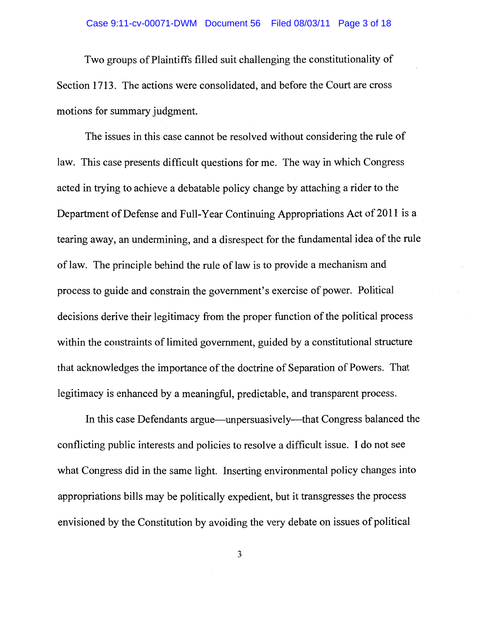Two groups of Plaintiffs filled suit challenging the constitutionality of Section 1713. The actions were consolidated, and before the Court are cross motions for summary judgment.

The issues in this case cannot be resolved without considering the rule of law. This case presents difficult questions for me. The way in which Congress acted in trying to achieve a debatable policy change by attaching a rider to the Department of Defense and Full-Year Continuing Appropriations Act of 2011 is a tearing away, an undermining, and a disrespect for the fundamental idea of the rule of law. The principle behind the rule of law is to provide a mechanism and process to guide and constrain the government's exercise of power. Political decisions derive their legitimacy from the proper function of the political process within the constraints of limited government, guided by a constitutional structure that acknowledges the importance of the doctrine of Separation of Powers. That legitimacy is enhanced by a meaningful, predictable, and transparent process.

In this case Defendants argue—unpersuasively—that Congress balanced the conflicting public interests and policies to resolve a difficult issue. I do not see what Congress did in the same light. Inserting environmental policy changes into appropriations bills may be politically expedient, but it transgresses the process envisioned by the Constitution by avoiding the very debate on issues of political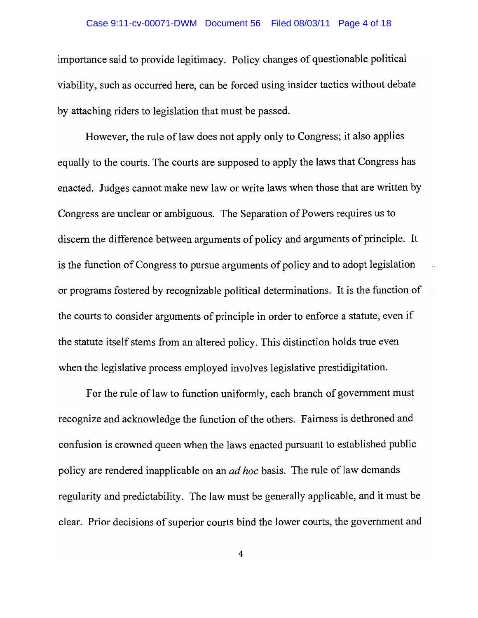#### Case 9:11-cv-00071-DWM Document 56 Filed 08/03/11 Page 4 of 18

importance said to provide legitimacy. Policy changes of questionable political viability, such as occurred here, can be forced using insider tactics without debate by attaching riders to legislation that must be passed.

However, the rule of law does not apply only to Congress; it also applies equally to the courts. The courts are supposed to apply the laws that Congress has enacted. Judges cannot make new law or write laws when those that are written by Congress are unclear or ambiguous. The Separation of Powers requires us to discern the difference between arguments of policy and arguments of principle. It is the function of Congress to pursue arguments of policy and to adopt legislation or programs fostered by recognizable political determinations. It is the function of the courts to consider arguments of principle in order to enforce a statute, even if the statute itself stems from an altered policy. This distinction holds true even when the legislative process employed involves legislative prestidigitation.

For the rule of law to function uniformly, each branch of government must recognize and acknowledge the function of the others. Fairness is dethroned and confusion is crowned queen when the laws enacted pursuant to established public policy are rendered inapplicable on an *ad hoc* basis. The rule of law demands regularity and predictability. The law must be generally applicable, and it must be clear. Prior decisions of superior courts bind the lower courts, the government and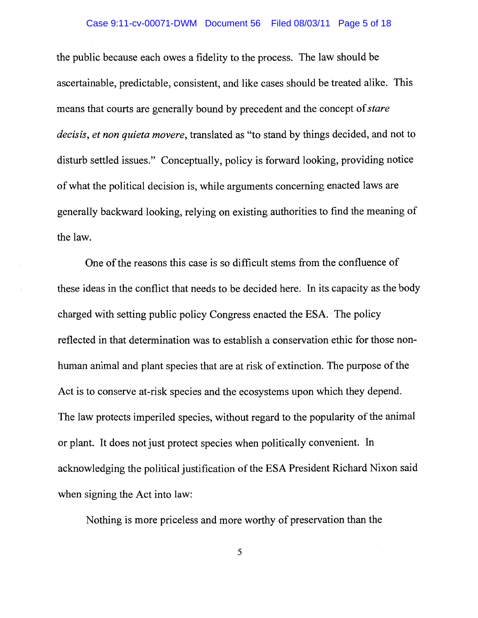the public because each owes a fidelity to the process. The law should be ascertainable, predictable, consistent, and like cases should be treated alike. This means that courts are generally bound by precedent and the concept of*stare decisis, et non quieta movere,* translated as "to stand by things decided, and not to disturb settled issues." Conceptually, policy is forward looking, providing notice ofwhat the political decision is, while arguments concerning enacted laws are generally backward looking, relying on existing authorities to find the meaning of the law.

One of the reasons this case is so difficult stems from the confluence of these ideas in the conflict that needs to be decided here. In its capacity as the body charged with setting public policy Congress enacted the ESA. The policy reflected in that determination was to establish a conservation ethic for those nonhuman animal and plant species that are at risk of extinction. The purpose of the Act is to conserve at-risk species and the ecosystems upon which they depend. The law protects imperiled species, without regard to the popularity of the animal or plant. It does not just protect species when politically convenient. In acknowledging the political justification of the ESA President Richard Nixon said when signing the Act into law:

Nothing is more priceless and more worthy of preservation than the

5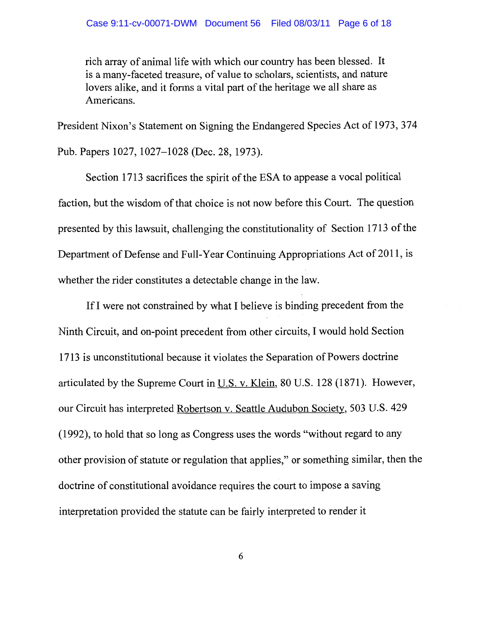rich array of animal life with which our country has been blessed. It is a many-faceted treasure, of value to scholars, scientists, and nature lovers alike, and it forms a vital part of the heritage we all share as Americans.

President Nixon's Statement on Signing the Endangered Species Act of 1973, 374

Pub. Papers 1027, 1027-1028 (Dec. 28,1973).

Section 1713 sacrifices the spirit of the ESA to appease a vocal political faction, but the wisdom of that choice is not now before this Court. The question presented by this lawsuit, challenging the constitutionality of Section 1713 of the Department of Defense and Full-Year Continuing Appropriations Act of 2011, is whether the rider constitutes a detectable change in the law.

IfI were not constrained by what I believe is binding precedent from the Ninth Circuit, and on-point precedent from other circuits, I would hold Section 1713 is unconstitutional because it violates the Separation of Powers doctrine articulated by the Supreme Court in  $U.S. v.$  Klein, 80 U.S. 128 (1871). However, our Circuit has interpreted Robertson v. Seattle Audubon Society, 503 U.S. 429 (1992), to hold that so long as Congress uses the words "without regard to any other provision of statute or regulation that applies," or something similar, then the doctrine of constitutional avoidance requires the court to impose a saving interpretation provided the statute can be fairly interpreted to render it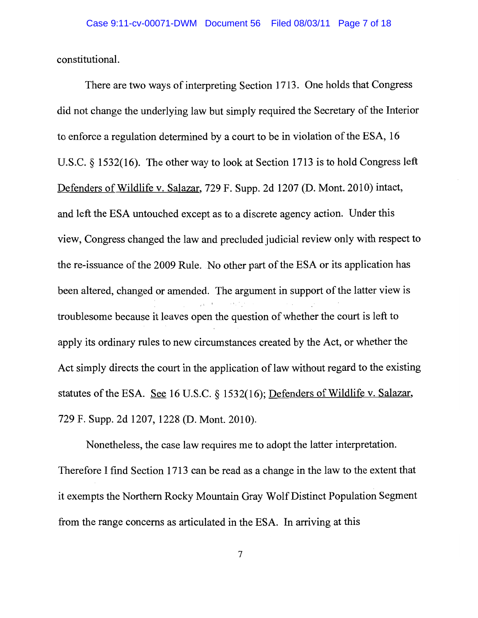constitutional.

There are two ways of interpreting Section 1713. One holds that Congress did not change the underlying law but simply required the Secretary of the Interior to enforce a regulation determined by a court to be in violation of the ESA, 16 U.S.C. § 1532(16). The other way to look at Section 1713 is to hold Congress left Defenders of Wildlife v. Salazar, 729 F. Supp. 2d 1207 (D. Mont. 2010) intact, and left the ESA untouched except as to a discrete agency action. Under this view, Congress changed the law and precluded judicial review only with respect to the re-issuance of the 2009 Rule. No other part of the ESA or its application has been altered, changed or amended. The argument in support of the latter view is troublesome because it leaves open the question of whether the court is left to apply its ordinary rules to new circumstances created by the Act, or whether the Act simply directs the court in the application of law without regard to the existing statutes of the ESA. See 16 U.S.C. § 1532(16); Defenders of Wildlife v. Salazar, 729 F. Supp. 2d 1207, 1228 (D. Mont. 2010).

Nonetheless, the case law requires me to adopt the latter interpretation. Therefore I find Section 1713 can be read as a change in the law to the extent that it exempts the Northern Rocky Mountain Gray Wolf Distinct Population Segment from the range concerns as articulated in the ESA. In arriving at this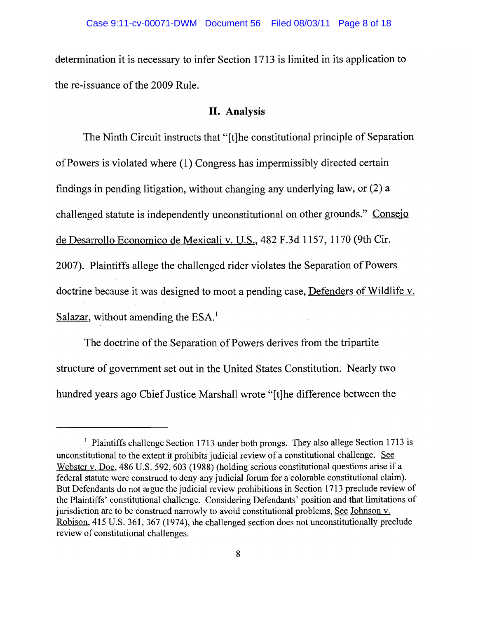determination it is necessary to infer Section 1713 is limited in its application to the re-issuance of the 2009 Rule.

### **II. Analysis**

The Ninth Circuit instructs that "[t]he constitutional principle of Separation ofPowers is violated where (1) Congress has impermissibly directed certain findings in pending litigation, without changing any underlying law, or (2) a challenged statute is independently unconstitutional on other grounds." Consejo de Desarrollo Economico de Mexicali v. U.S., 482 F.3d 1157, 1170 (9th Cir. 2007). Plaintiffs allege the challenged rider violates the Separation of Powers doctrine because it was designed to moot a pending case, Defenders of Wildlife v. Salazar, without amending the  $ESA<sup>1</sup>$ .

The doctrine of the Separation of Powers derives from the tripartite structure of government set out in the United States Constitution. Nearly two hundred years ago Chief Justice Marshall wrote "[t]he difference between the

<sup>&</sup>lt;sup>1</sup> Plaintiffs challenge Section 1713 under both prongs. They also allege Section 1713 is unconstitutional to the extent it prohibits judicial review of a constitutional challenge. See Webster v. Doe, 486 U.S. 592, 603 (1988) (holding serious constitutional questions arise if a federal statute were construed to deny any judicial forum for a colorable constitutional claim). But Defendants do not argue the judicial review prohibitions in Section 1713 preclude review of the Plaintiffs' constitutional challenge. Considering Defendants' position and that limitations of jurisdiction are to be construed narrowly to avoid constitutional problems, See Johnson v. Robison, 415 U.S. 361, 367 (1974), the challenged section does not unconstitutionally preclude review of constitutional challenges.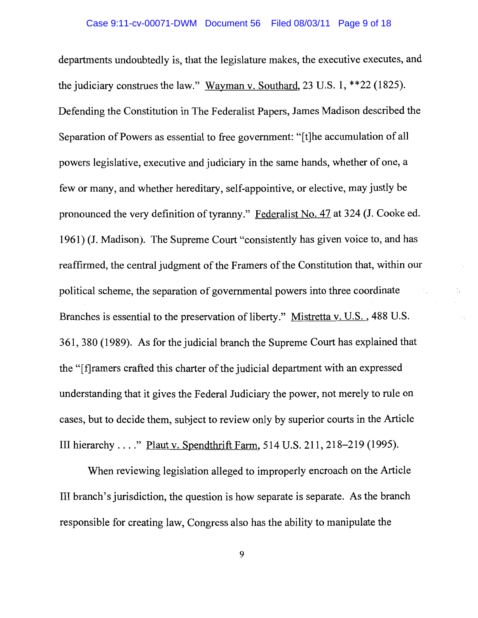departments undoubtedly is, that the legislature makes, the executive executes, and the judiciary construes the law." Wayman v. Southard, 23 U.S. 1, \*\*22 (1825). Defending the Constitution in The Federalist Papers, James Madison described the Separation of Powers as essential to free government: "[t]he accumulation of all powers legislative, executive and judiciary in the same hands, whether of one, a few or many, and whether hereditary, self-appointive, or elective, may justly be pronounced the very definition of tyranny." Federalist No. 47 at 324 (1. Cooke ed. 1961) (J. Madison). The Supreme Court "consistently has given voice to, and has reaffirmed, the central judgment of the Framers of the Constitution that, within our political scheme, the separation of governmental powers into three coordinate Branches is essential to the preservation of liberty." Mistretta v. U.S., 488 U.S. 361,380 (1989). As for the judicial branch the Supreme Court has explained that the "[f]ramers crafted this charter of the judicial department with an expressed understanding that it gives the Federal Judiciary the power, not merely to rule on cases, but to decide them, subject to review only by superior courts in the Article **III** hierarchy ...." Plaut v. Spendthrift Farm, 514 U.S. 211, 218-219 (1995).

When reviewing legislation alleged to improperly encroach on the Article III branch's jurisdiction, the question is how separate is separate. As the branch responsible for creating law, Congress also has the ability to manipulate the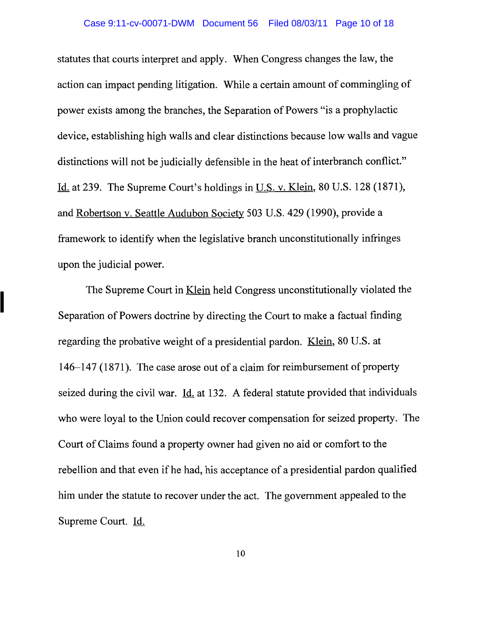statutes that courts interpret and apply. When Congress changes the law, the action can impact pending litigation. While a certain amount of commingling of power exists among the branches, the Separation of Powers "is a prophylactic device, establishing high walls and clear distinctions because low walls and vague distinctions will not be judicially defensible in the heat of interbranch conflict." Id. at 239. The Supreme Court's holdings in U.S. v. Klein, 80 U.S. 128 (1871), and Robertson v. Seattle Audubon Society 503 U.S. 429 (1990), provide a framework to identify when the legislative branch unconstitutionally infringes upon the judicial power.

The Supreme Court in Klein held Congress unconstitutionally violated the Separation of Powers doctrine by directing the Court to make a factual finding regarding the probative weight of a presidential pardon. Klein, 80 U.S. at  $146-147$  (1871). The case arose out of a claim for reimbursement of property seized during the civil war.  $\underline{Id}$  at 132. A federal statute provided that individuals who were loyal to the Union could recover compensation for seized property. The Court of Claims found a property owner had given no aid or comfort to the rebellion and that even if he had, his acceptance of a presidential pardon qualified him under the statute to recover under the act. The government appealed to the Supreme Court. Id.

I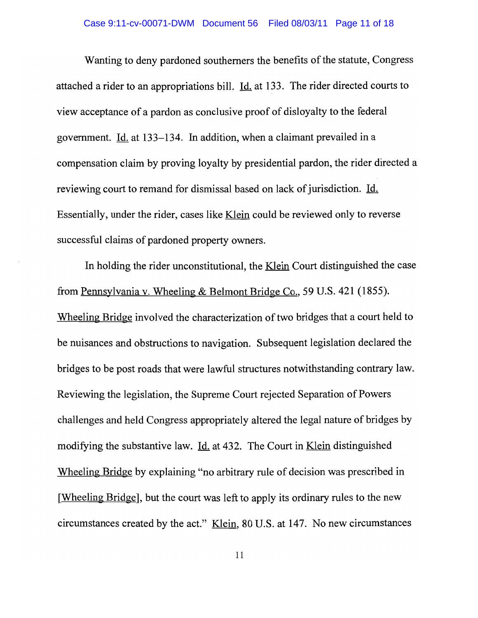Wanting to deny pardoned southerners the benefits of the statute, Congress attached a rider to an appropriations bill. Id. at 133. The rider directed courts to view acceptance of a pardon as conclusive proof of disloyalty to the federal government. Id. at 133-134. In addition, when a claimant prevailed in a compensation claim by proving loyalty by presidential pardon, the rider directed a reviewing court to remand for dismissal based on lack of jurisdiction. Id. Essentially, under the rider, cases like Klein could be reviewed only to reverse successful claims of pardoned property owners.

In holding the rider unconstitutional, the <u>Klein</u> Court distinguished the case from Pennsylvania v. Wheeling & Belmont Bridge Co., 59 U.S. 421 (1855). Wheeling Bridge involved the characterization of two bridges that a court held to be nuisances and obstructions to navigation. Subsequent legislation declared the bridges to be post roads that were lawful structures notwithstanding contrary law. Reviewing the legislation, the Supreme Court rejected Separation of Powers challenges and held Congress appropriately altered the legal nature of bridges by modifying the substantive law. <u>Id.</u> at 432. The Court in <u>Klein</u> distinguished Wheeling Bridge by explaining "no arbitrary rule of decision was prescribed in [Wheeling Bridge], but the court was left to apply its ordinary rules to the new circumstances created by the act." Klein, 80 U.S. at 147. No new circumstances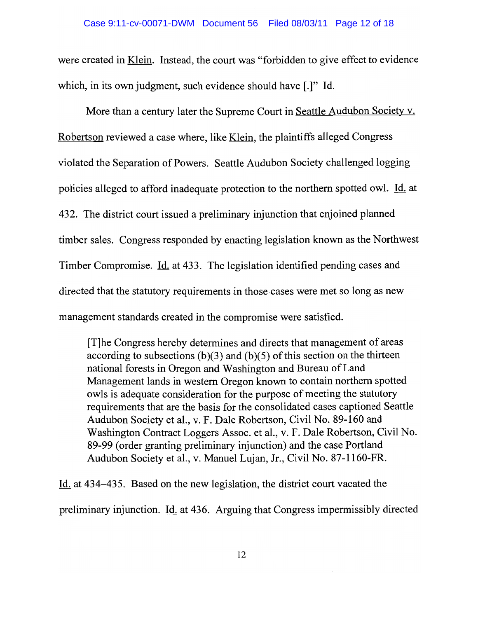were created in <u>Klein</u>. Instead, the court was "forbidden to give effect to evidence which, in its own judgment, such evidence should have [.]" Id.

More than a century later the Supreme Court in Seattle Audubon Society v. Robertson reviewed a case where, like Klein, the plaintiffs alleged Congress violated the Separation of Powers. Seattle Audubon Society challenged logging policies alleged to afford inadequate protection to the northern spotted owl. Id. at 432. The district court issued a preliminary injunction that enjoined planned timber sales. Congress responded by enacting legislation known as the Northwest Timber Compromise. Id. at 433. The legislation identified pending cases and directed that the statutory requirements in those cases were met so long as new management standards created in the compromise were satisfied.

[T]he Congress hereby determines and directs that management of areas according to subsections  $(b)(3)$  and  $(b)(5)$  of this section on the thirteen national forests in Oregon and Washington and Bureau of Land Management lands in western Oregon known to contain northern spotted owls is adequate consideration for the purpose of meeting the statutory requirements that are the basis for the consolidated cases captioned Seattle Audubon Society et aI., v. F. Dale Robertson, Civil No. 89-160 and Washington Contract Loggers Assoc. et aI., v. F. Dale Robertson, Civil No. 89-99 (order granting preliminary injunction) and the case Portland Audubon Society et aI., v. Manuel Lujan, Jr., Civil No. 87-1160-FR.

Id. at 434-435. Based on the new legislation, the district court vacated the preliminary injunction. Id. at 436. Arguing that Congress impermissibly directed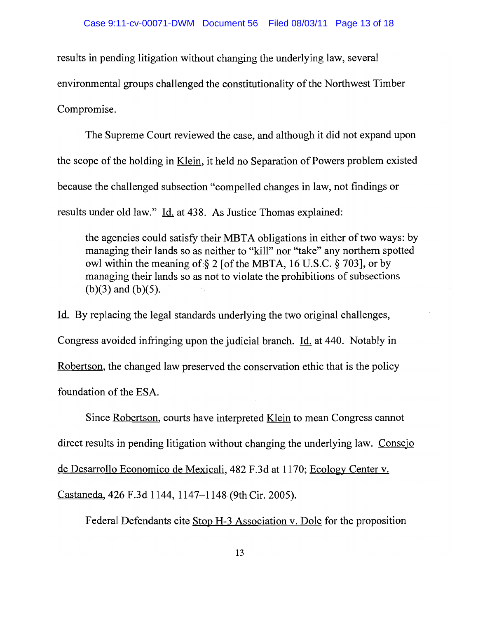results in pending litigation without changing the underlying law, several environmental groups challenged the constitutionality of the Northwest Timber Compromise.

The Supreme Court reviewed the case, and although it did not expand upon the scope of the holding in Klein, it held no Separation of Powers problem existed because the challenged subsection "compelled changes in law, not findings or results under old law." Id. at 438. As Justice Thomas explained:

the agencies could satisfy their MBTA obligations in either of two ways: by managing their lands so as neither to "kill" nor "take" any northern spotted owl within the meaning of:§ 2 [of the MBTA, 16 U.S.C. § 703], or by managing their lands so as not to violate the prohibitions of subsections (b)(3) and (b)(5).

Id. By replacing the legal standards underlying the two original challenges, Congress avoided infringing upon the judicial branch. Id. at 440. Notably in Robertson, the changed law preserved the conservation ethic that is the policy foundation of the ESA.

Since Robertson, courts have interpreted Klein to mean Congress cannot direct results in pending litigation without changing the underlying law. Consejo de Desarrollo Economico de Mexicali, 482 F.3d at 1170; Ecology Center v. Castaneda, 426 F.3d 1144, 1147-1148 (9th Cir. 2005).

Federal Defendants cite Stop H-3 Association v. Dole for the proposition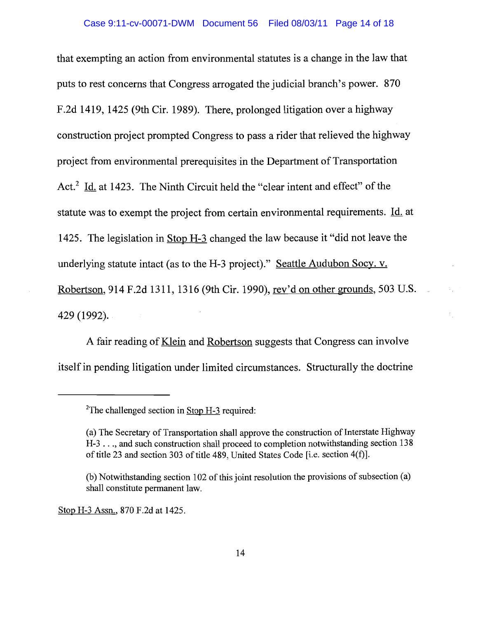that exempting an action from environmental statutes is a change in the law that puts to rest concerns that Congress arrogated the judicial branch's power. 870 F.2d 1419, 1425 (9th Cir. 1989). There, prolonged litigation over a highway construction project prompted Congress to pass a rider that relieved the highway project from environmental prerequisites in the Department of Transportation Act.<sup>2</sup> Id. at 1423. The Ninth Circuit held the "clear intent and effect" of the statute was to exempt the project from certain environmental requirements. Id. at 1425. The legislation in Stop H-3 changed the law because it "did not leave the underlying statute intact (as to the H-3 project)." Seattle Audubon Socy. v. Robertson, 914 F.2d 1311, 1316 (9th Cir. 1990), rev'd on other grounds, 503 U.S. 429 (1992).

A fair reading of Klein and Robertson suggests that Congress can involve itself in pending litigation under limited circumstances. Structurally the doctrine

Stop H-3 Assn., 870 F.2d at 1425.

<sup>&</sup>lt;sup>2</sup>The challenged section in  $Stop H-3$  required:

<sup>(</sup>a) The Secretary of Transportation shall approve the construction of Interstate Highway H-3 . . ., and such construction shall proceed to completion notwithstanding section 138 of title 23 and section 303 of title 489, United States Code [i.e. section 4(f)].

 $(b)$  Notwithstanding section 102 of this joint resolution the provisions of subsection  $(a)$ shall constitute permanent law.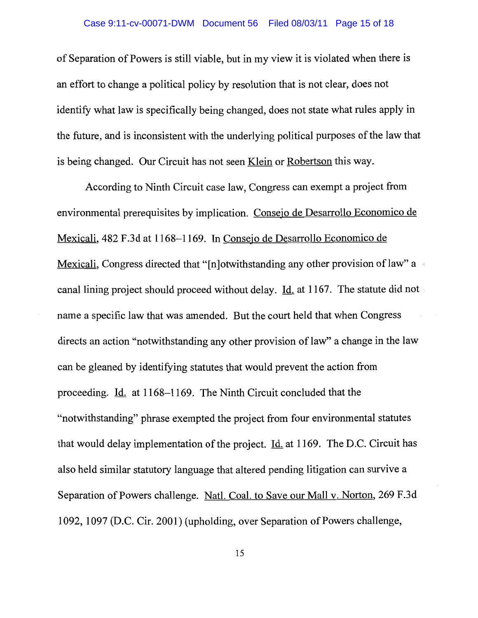of Separation of Powers is still viable, but in my view it is violated when there is an effort to change a political policy by resolution that is not clear, does not identify what law is specifically being changed, does not state what rules apply in the future, and is inconsistent with the underlying political purposes of the law that is being changed. Our Circuit has not seen Klein or Robertson this way.

According to Ninth Circuit case law, Congress can exempt a project from environmental prerequisites by implication. Consejo de Desarrollo Economico de Mexicali, 482 F.3d at 1168-1169. In Consejo de Desarrollo Economico de Mexicali, Congress directed that "[n]otwithstanding any other provision of law" a canal lining project should proceed without delay. Id. at 1167. The statute did not name a specific law that was amended. But the court held that when Congress directs an action "notwithstanding any other provision of law" a change in the law can be gleaned by identifying statutes that would prevent the action from proceeding. Id. at 1168-1169. The Ninth Circuit concluded that the "notwithstanding" phrase exempted the project from four environmental statutes that would delay implementation of the project.  $\underline{Id}$  at 1169. The D.C. Circuit has also held similar statutory language that altered pending litigation can survive a Separation of Powers challenge. Natl. Coal. to Save our Mall v. Norton, 269 F.3d 1092, 1097 (D.C. Cir. 2001) (upholding, over Separation of Powers challenge,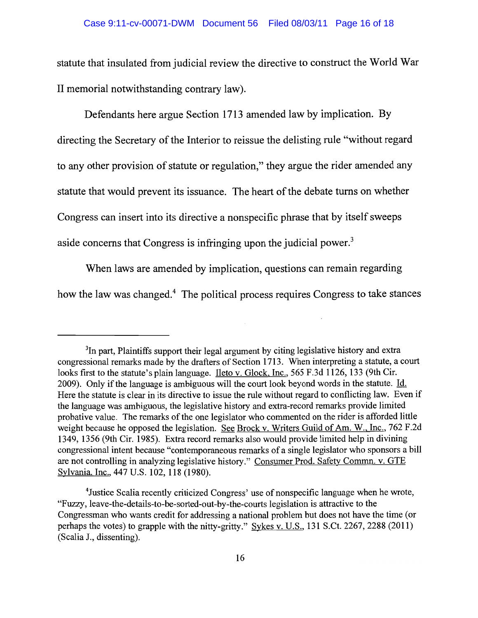statute that insulated from judicial review the directive to construct the World War II memorial notwithstanding contrary law).

Defendants here argue Section 1713 amended law by implication. By directing the Secretary of the Interior to reissue the delisting rule "without regard to any other provision of statute or regulation," they argue the rider amended any statute that would prevent its issuance. The heart of the debate turns on whether Congress can insert into its directive a nonspecific phrase that by itself sweeps aside concerns that Congress is infringing upon the judicial power.<sup>3</sup>

When laws are amended by implication, questions can remain regarding how the law was changed.4 The political process requires Congress to take stances

<sup>&</sup>lt;sup>3</sup>In part, Plaintiffs support their legal argument by citing legislative history and extra congressional remarks made by the drafters of Section 1713. When interpreting a statute, a court looks first to the statute's plain language. Ileto v. Glock, Inc., 565 F.3d 1126, 133 (9th Cir. 2009). Only if the language is ambiguous will the court look beyond words in the statute. Id. Here the statute is clear in its directive to issue the rule without regard to conflicting law. Even if the language was ambiguous, the legislative history and extra-record remarks provide limited probative value. The remarks of the one legislator who commented on the rider is afforded little weight because he opposed the legislation. See Brock v. Writers Guild of Am. W., Inc., 762 F.2d 1349, 1356 (9th Cir. 1985). Extra record remarks also would provide limited help in divining congressional intent because "contemporaneous remarks of a single legislator who sponsors a bill are not controlling in analyzing legislative history." Consumer Prod. Safety Commn. v. GTE Sylvania. Inc., 447 U.S. 102, 118 (1980).

<sup>&</sup>lt;sup>4</sup> Justice Scalia recently criticized Congress' use of nonspecific language when he wrote, "Fuzzy, leave-the-details-to-be-sorted-out-by-the-courts legislation is attractive to the Congressman who wants credit for addressing a national problem but does not have the time (or perhaps the votes) to grapple with the nitty-gritty." Sykes v. U.S., 131 S.Ct. 2267, 2288 (2011) (Scalia J., dissenting).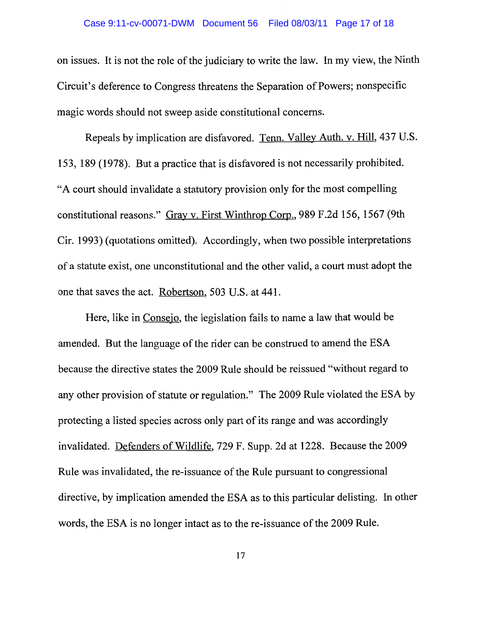## Case 9:11-cv-00071-DWM Document 56 Filed 08/03/11 Page 17 of 18

on issues. It is not the role of the judiciary to write the law. In my view, the Ninth Circuit's deference to Congress threatens the Separation of Powers; nonspecific magic words should not sweep aside constitutional concerns.

Repeals by implication are disfavored. Tenn. Valley Auth. v. Hill, 437 U.S. 153, 189 (1978). But a practice that is disfavored is not necessarily prohibited. "A court should invalidate a statutory provision only for the most compelling constitutional reasons." Gray v. First Winthrop Corp., 989 F.2d 156, 1567 (9th Cir. 1993) (quotations omitted). Accordingly, when two possible interpretations of a statute exist, one unconstitutional and the other valid, a court must adopt the one that saves the act. Robertson, 503 U.S. at 441.

Here, like in Consejo, the legislation fails to name a law that would be amended. But the language of the rider can be construed to amend the ESA because the directive states the 2009 Rule should be reissued "without regard to any other provision of statute or regulation." The 2009 Rule violated the ESA by protecting a listed species across only part of its range and was accordingly invalidated. Defenders of Wildlife, 729 F. Supp. 2d at 1228. Because the 2009 Rule was invalidated, the re-issuance of the Rule pursuant to congressional directive, by implication amended the ESA as to this particular delisting. In other words, the ESA is no longer intact as to the re-issuance of the 2009 Rule.